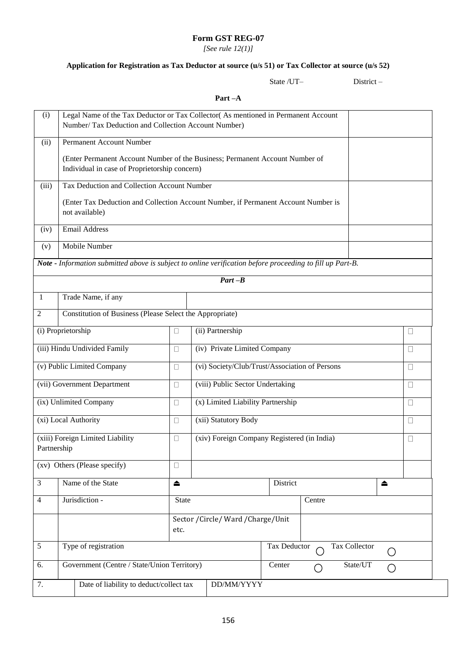## **Form GST REG-07**

*[See rule 12(1)]*

# **Application for Registration as Tax Deductor at source (u/s 51) or Tax Collector at source (u/s 52)**

State /UT– District –

#### **Part –A**

| (i)                                                                                                      | Legal Name of the Tax Deductor or Tax Collector(As mentioned in Permanent Account<br>Number/ Tax Deduction and Collection Account Number) |                                          |                                                |                              |              |        |   |
|----------------------------------------------------------------------------------------------------------|-------------------------------------------------------------------------------------------------------------------------------------------|------------------------------------------|------------------------------------------------|------------------------------|--------------|--------|---|
| (ii)                                                                                                     | Permanent Account Number                                                                                                                  |                                          |                                                |                              |              |        |   |
|                                                                                                          | (Enter Permanent Account Number of the Business; Permanent Account Number of<br>Individual in case of Proprietorship concern)             |                                          |                                                |                              |              |        |   |
| (iii)                                                                                                    | Tax Deduction and Collection Account Number                                                                                               |                                          |                                                |                              |              |        |   |
|                                                                                                          | (Enter Tax Deduction and Collection Account Number, if Permanent Account Number is<br>not available)                                      |                                          |                                                |                              |              |        |   |
| (iv)                                                                                                     | <b>Email Address</b>                                                                                                                      |                                          |                                                |                              |              |        |   |
| (v)                                                                                                      | <b>Mobile Number</b>                                                                                                                      |                                          |                                                |                              |              |        |   |
|                                                                                                          | Note - Information submitted above is subject to online verification before proceeding to fill up Part-B.                                 |                                          |                                                |                              |              |        |   |
|                                                                                                          |                                                                                                                                           |                                          |                                                | $Part-B$                     |              |        |   |
| 1                                                                                                        | Trade Name, if any                                                                                                                        |                                          |                                                |                              |              |        |   |
| $\overline{2}$                                                                                           | Constitution of Business (Please Select the Appropriate)                                                                                  |                                          |                                                |                              |              |        |   |
|                                                                                                          | (i) Proprietorship<br>(ii) Partnership<br>□                                                                                               |                                          |                                                |                              | $\mathbf{L}$ |        |   |
|                                                                                                          | (iii) Hindu Undivided Family<br>П                                                                                                         |                                          |                                                | (iv) Private Limited Company |              |        | П |
| (v) Public Limited Company<br>□                                                                          |                                                                                                                                           |                                          | (vi) Society/Club/Trust/Association of Persons |                              |              | П      |   |
| (vii) Government Department<br>u                                                                         |                                                                                                                                           |                                          | (viii) Public Sector Undertaking               |                              |              | П      |   |
| (ix) Unlimited Company<br>П                                                                              |                                                                                                                                           |                                          | (x) Limited Liability Partnership              |                              |              | $\Box$ |   |
| (xi) Local Authority<br>(xii) Statutory Body<br>$\Box$                                                   |                                                                                                                                           |                                          |                                                |                              |              | $\Box$ |   |
| (xiv) Foreign Company Registered (in India)<br>(xiii) Foreign Limited Liability<br>$\Box$<br>Partnership |                                                                                                                                           |                                          |                                                |                              | $\Box$       |        |   |
|                                                                                                          | (xv) Others (Please specify)                                                                                                              | П                                        |                                                |                              |              |        |   |
| $\mathfrak{Z}$                                                                                           | Name of the State                                                                                                                         | District<br>$\triangleq$<br>$\triangleq$ |                                                |                              |              |        |   |
| $\overline{4}$                                                                                           | Jurisdiction -                                                                                                                            | State<br>Centre                          |                                                |                              |              |        |   |
|                                                                                                          | Sector / Circle/ Ward / Charge/ Unit<br>etc.                                                                                              |                                          |                                                |                              |              |        |   |
| $\sqrt{5}$                                                                                               | Type of registration<br>Tax Collector<br>Tax Deductor<br>Ο                                                                                |                                          |                                                |                              |              |        |   |
| 6.                                                                                                       | Government (Centre / State/Union Territory)<br>Center<br>State/UT<br>( )                                                                  |                                          |                                                |                              |              |        |   |
| 7.                                                                                                       | Date of liability to deduct/collect tax                                                                                                   |                                          |                                                | DD/MM/YYYY                   |              |        |   |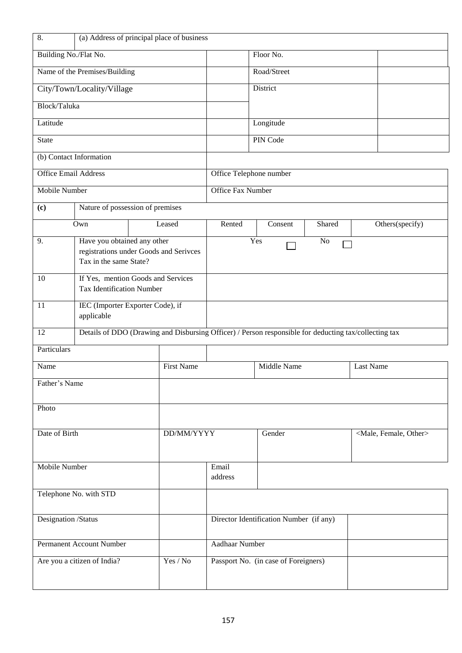| 8.                                      | (a) Address of principal place of business                             |                                                                                                       |                                      |             |        |           |                                     |  |
|-----------------------------------------|------------------------------------------------------------------------|-------------------------------------------------------------------------------------------------------|--------------------------------------|-------------|--------|-----------|-------------------------------------|--|
| Building No./Flat No.                   |                                                                        |                                                                                                       |                                      | Floor No.   |        |           |                                     |  |
| Name of the Premises/Building           |                                                                        |                                                                                                       |                                      | Road/Street |        |           |                                     |  |
|                                         | City/Town/Locality/Village                                             |                                                                                                       |                                      | District    |        |           |                                     |  |
| Block/Taluka                            |                                                                        |                                                                                                       |                                      |             |        |           |                                     |  |
| Latitude                                |                                                                        |                                                                                                       |                                      | Longitude   |        |           |                                     |  |
| <b>State</b>                            |                                                                        |                                                                                                       |                                      | PIN Code    |        |           |                                     |  |
|                                         | (b) Contact Information                                                |                                                                                                       |                                      |             |        |           |                                     |  |
| <b>Office Email Address</b>             |                                                                        |                                                                                                       | Office Telephone number              |             |        |           |                                     |  |
| <b>Mobile Number</b>                    |                                                                        |                                                                                                       | <b>Office Fax Number</b>             |             |        |           |                                     |  |
| (c)                                     |                                                                        | Nature of possession of premises                                                                      |                                      |             |        |           |                                     |  |
|                                         | Own                                                                    | Leased                                                                                                | Rented                               | Consent     | Shared |           | Others(specify)                     |  |
| 9.                                      | Have you obtained any other<br>Tax in the same State?                  | registrations under Goods and Serivces                                                                |                                      | Yes         | No     |           |                                     |  |
| 10                                      | If Yes, mention Goods and Services<br><b>Tax Identification Number</b> |                                                                                                       |                                      |             |        |           |                                     |  |
| 11                                      | applicable                                                             | IEC (Importer Exporter Code), if                                                                      |                                      |             |        |           |                                     |  |
| 12                                      |                                                                        | Details of DDO (Drawing and Disbursing Officer) / Person responsible for deducting tax/collecting tax |                                      |             |        |           |                                     |  |
| Particulars                             |                                                                        |                                                                                                       |                                      |             |        |           |                                     |  |
| Name                                    |                                                                        | <b>First Name</b>                                                                                     |                                      | Middle Name |        | Last Name |                                     |  |
| Father's Name                           |                                                                        |                                                                                                       |                                      |             |        |           |                                     |  |
| Photo                                   |                                                                        |                                                                                                       |                                      |             |        |           |                                     |  |
| Date of Birth                           |                                                                        | DD/MM/YYYY                                                                                            |                                      | Gender      |        |           | <male, female,="" other=""></male,> |  |
| Mobile Number                           |                                                                        |                                                                                                       | Email<br>address                     |             |        |           |                                     |  |
| Telephone No. with STD                  |                                                                        |                                                                                                       |                                      |             |        |           |                                     |  |
| Designation /Status                     |                                                                        | Director Identification Number (if any)                                                               |                                      |             |        |           |                                     |  |
| Permanent Account Number                |                                                                        | <b>Aadhaar Number</b>                                                                                 |                                      |             |        |           |                                     |  |
| Yes / No<br>Are you a citizen of India? |                                                                        |                                                                                                       | Passport No. (in case of Foreigners) |             |        |           |                                     |  |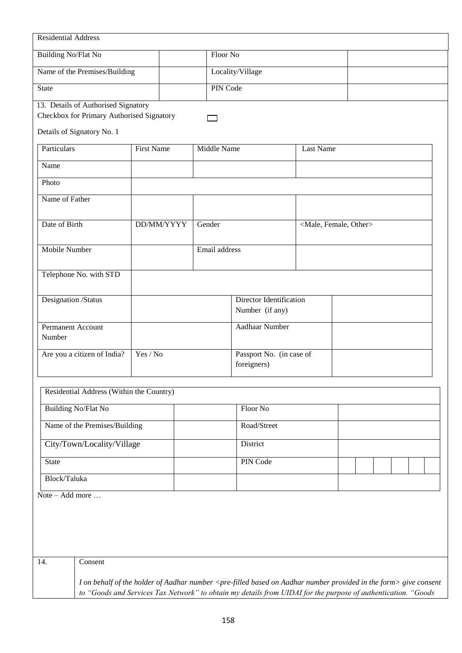| <b>Residential Address</b>                                                                                     |          |               |                                                   |           |                                                                                                                                                                                                                                                                         |  |  |
|----------------------------------------------------------------------------------------------------------------|----------|---------------|---------------------------------------------------|-----------|-------------------------------------------------------------------------------------------------------------------------------------------------------------------------------------------------------------------------------------------------------------------------|--|--|
| <b>Building No/Flat No</b>                                                                                     |          |               | Floor No                                          |           |                                                                                                                                                                                                                                                                         |  |  |
| Name of the Premises/Building                                                                                  |          |               | Locality/Village                                  |           |                                                                                                                                                                                                                                                                         |  |  |
| <b>State</b>                                                                                                   |          | PIN Code      |                                                   |           |                                                                                                                                                                                                                                                                         |  |  |
| 13. Details of Authorised Signatory<br>Checkbox for Primary Authorised Signatory<br>Details of Signatory No. 1 |          |               |                                                   |           |                                                                                                                                                                                                                                                                         |  |  |
| Particulars<br><b>First Name</b>                                                                               |          | Middle Name   |                                                   | Last Name |                                                                                                                                                                                                                                                                         |  |  |
| Name                                                                                                           |          |               |                                                   |           |                                                                                                                                                                                                                                                                         |  |  |
| Photo                                                                                                          |          |               |                                                   |           |                                                                                                                                                                                                                                                                         |  |  |
| Name of Father                                                                                                 |          |               |                                                   |           |                                                                                                                                                                                                                                                                         |  |  |
| Date of Birth<br>DD/MM/YYYY                                                                                    |          | Gender        |                                                   |           | <male, female,="" other=""></male,>                                                                                                                                                                                                                                     |  |  |
| Mobile Number                                                                                                  |          | Email address |                                                   |           |                                                                                                                                                                                                                                                                         |  |  |
| Telephone No. with STD                                                                                         |          |               |                                                   |           |                                                                                                                                                                                                                                                                         |  |  |
| Designation /Status                                                                                            |          |               | <b>Director Identification</b><br>Number (if any) |           |                                                                                                                                                                                                                                                                         |  |  |
| <b>Permanent Account</b><br>Number                                                                             |          |               | Aadhaar Number                                    |           |                                                                                                                                                                                                                                                                         |  |  |
| Are you a citizen of India?                                                                                    | Yes / No |               | Passport No. (in case of<br>foreigners)           |           |                                                                                                                                                                                                                                                                         |  |  |
| Residential Address (Within the Country)                                                                       |          |               |                                                   |           |                                                                                                                                                                                                                                                                         |  |  |
| <b>Building No/Flat No</b>                                                                                     |          |               | Floor No                                          |           |                                                                                                                                                                                                                                                                         |  |  |
| Name of the Premises/Building                                                                                  |          |               | Road/Street                                       |           |                                                                                                                                                                                                                                                                         |  |  |
| City/Town/Locality/Village                                                                                     |          |               | District                                          |           |                                                                                                                                                                                                                                                                         |  |  |
| <b>State</b>                                                                                                   |          |               | PIN Code                                          |           |                                                                                                                                                                                                                                                                         |  |  |
| Block/Taluka                                                                                                   |          |               |                                                   |           |                                                                                                                                                                                                                                                                         |  |  |
| Note – Add more $\dots$                                                                                        |          |               |                                                   |           |                                                                                                                                                                                                                                                                         |  |  |
| 14.<br>Consent                                                                                                 |          |               |                                                   |           |                                                                                                                                                                                                                                                                         |  |  |
|                                                                                                                |          |               |                                                   |           | I on behalf of the holder of Aadhar number <pre-filled aadhar="" based="" form="" in="" number="" on="" provided="" the=""> give consent<br/>to "Goods and Services Tax Network" to obtain my details from UIDAI for the purpose of authentication. "Goods</pre-filled> |  |  |

 $\mathsf{L}$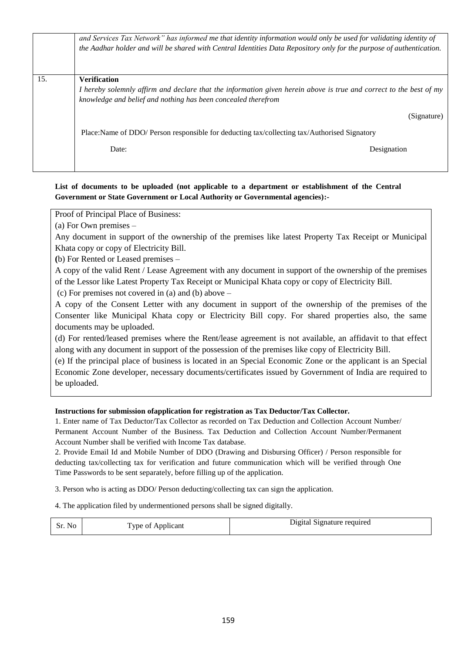|     | and Services Tax Network" has informed me that identity information would only be used for validating identity of<br>the Aadhar holder and will be shared with Central Identities Data Repository only for the purpose of authentication. |             |
|-----|-------------------------------------------------------------------------------------------------------------------------------------------------------------------------------------------------------------------------------------------|-------------|
| 15. | <b>Verification</b><br>I hereby solemnly affirm and declare that the information given herein above is true and correct to the best of my<br>knowledge and belief and nothing has been concealed therefrom                                |             |
|     |                                                                                                                                                                                                                                           | (Signature) |
|     | Place:Name of DDO/Person responsible for deducting tax/collecting tax/Authorised Signatory                                                                                                                                                |             |
|     | Date:                                                                                                                                                                                                                                     | Designation |
|     |                                                                                                                                                                                                                                           |             |

# **List of documents to be uploaded (not applicable to a department or establishment of the Central Government or State Government or Local Authority or Governmental agencies):-**

Proof of Principal Place of Business:

(a) For Own premises –

Any document in support of the ownership of the premises like latest Property Tax Receipt or Municipal Khata copy or copy of Electricity Bill.

**(**b) For Rented or Leased premises –

A copy of the valid Rent / Lease Agreement with any document in support of the ownership of the premises of the Lessor like Latest Property Tax Receipt or Municipal Khata copy or copy of Electricity Bill.

(c) For premises not covered in (a) and (b) above –

A copy of the Consent Letter with any document in support of the ownership of the premises of the Consenter like Municipal Khata copy or Electricity Bill copy. For shared properties also, the same documents may be uploaded.

(d) For rented/leased premises where the Rent/lease agreement is not available, an affidavit to that effect along with any document in support of the possession of the premises like copy of Electricity Bill.

(e) If the principal place of business is located in an Special Economic Zone or the applicant is an Special Economic Zone developer, necessary documents/certificates issued by Government of India are required to be uploaded.

### **Instructions for submission ofapplication for registration as Tax Deductor/Tax Collector.**

1. Enter name of Tax Deductor/Tax Collector as recorded on Tax Deduction and Collection Account Number/ Permanent Account Number of the Business. Tax Deduction and Collection Account Number/Permanent Account Number shall be verified with Income Tax database.

2. Provide Email Id and Mobile Number of DDO (Drawing and Disbursing Officer) / Person responsible for deducting tax/collecting tax for verification and future communication which will be verified through One Time Passwords to be sent separately, before filling up of the application.

3. Person who is acting as DDO/ Person deducting/collecting tax can sign the application.

4. The application filed by undermentioned persons shall be signed digitally.

| Sr. No | l'ype of Applicant | Digital Signature required |
|--------|--------------------|----------------------------|
|--------|--------------------|----------------------------|